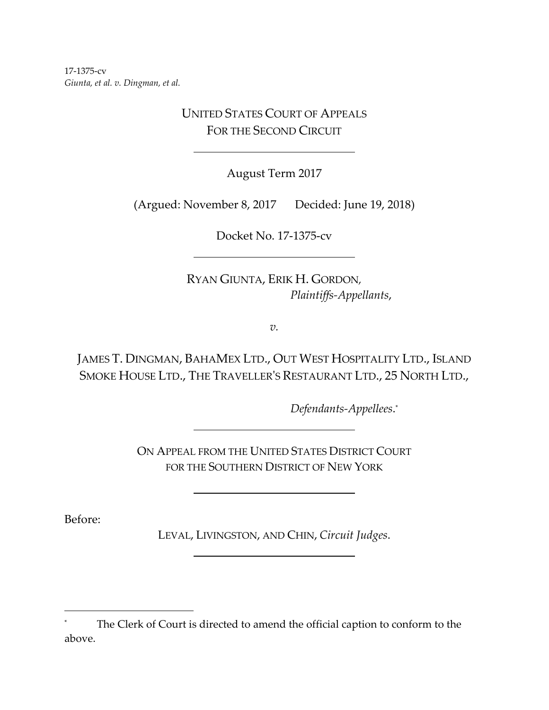17‐1375‐cv *Giunta, et al. v. Dingman, et al.*

> UNITED STATES COURT OF APPEALS FOR THE SECOND CIRCUIT

> > August Term 2017

(Argued: November 8, 2017 Decided: June 19, 2018)

Docket No. 17‐1375‐cv <u> 1989 - Johann Barn, fransk politik (d. 1989)</u>

RYAN GIUNTA, ERIK H. GORDON*, Plaintiffs‐Appellants*,

*v.*

JAMES T. DINGMAN, BAHAMEX LTD., OUT WEST HOSPITALITY LTD., ISLAND SMOKE HOUSE LTD., THE TRAVELLERʹS RESTAURANT LTD., 25 NORTH LTD.,

*Defendants‐Appellees*. \*

ON APPEAL FROM THE UNITED STATES DISTRICT COURT FOR THE SOUTHERN DISTRICT OF NEW YORK

Before:

LEVAL, LIVINGSTON, AND CHIN, *Circuit Judges*. 

The Clerk of Court is directed to amend the official caption to conform to the above.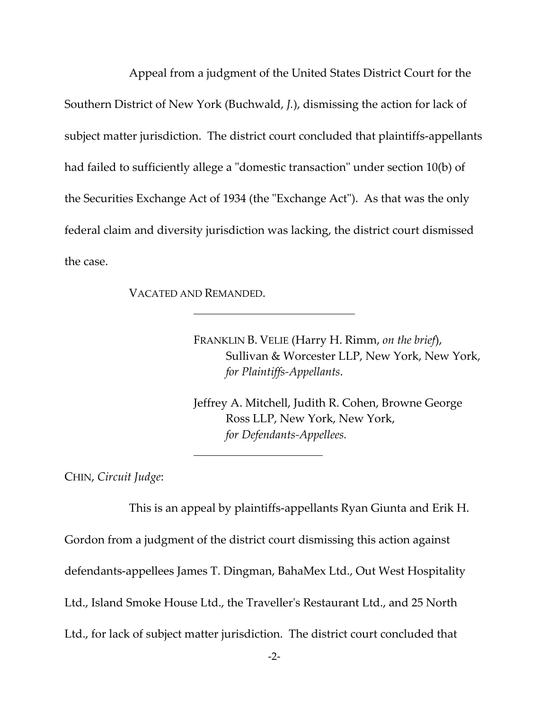Appeal from a judgment of the United States District Court for the Southern District of New York (Buchwald, *J.*), dismissing the action for lack of subject matter jurisdiction. The district court concluded that plaintiffs‐appellants had failed to sufficiently allege a "domestic transaction" under section 10(b) of the Securities Exchange Act of 1934 (the "Exchange Act"). As that was the only federal claim and diversity jurisdiction was lacking, the district court dismissed the case.

VACATED AND REMANDED.

FRANKLIN B. VELIE (Harry H. Rimm, *on the brief*), Sullivan & Worcester LLP, New York, New York, *for Plaintiffs‐Appellants*.

Jeffrey A. Mitchell, Judith R. Cohen, Browne George Ross LLP, New York, New York, *for Defendants‐Appellees.*

CHIN, *Circuit Judge*:

This is an appeal by plaintiffs‐appellants Ryan Giunta and Erik H. Gordon from a judgment of the district court dismissing this action against defendants‐appellees James T. Dingman, BahaMex Ltd., Out West Hospitality Ltd., Island Smoke House Ltd., the Travellerʹs Restaurant Ltd., and 25 North Ltd., for lack of subject matter jurisdiction. The district court concluded that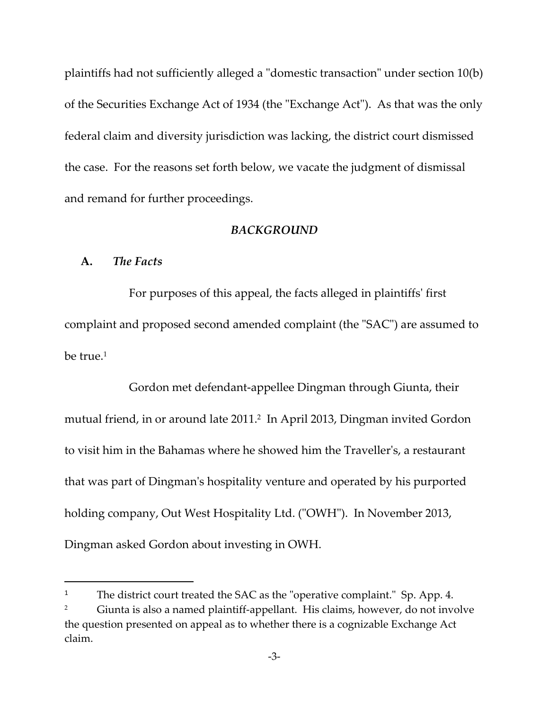plaintiffs had not sufficiently alleged a "domestic transaction" under section 10(b) of the Securities Exchange Act of 1934 (the "Exchange Act"). As that was the only federal claim and diversity jurisdiction was lacking, the district court dismissed the case. For the reasons set forth below, we vacate the judgment of dismissal and remand for further proceedings.

#### *BACKGROUND*

## **A.** *The Facts*

For purposes of this appeal, the facts alleged in plaintiffsʹ first complaint and proposed second amended complaint (the "SAC") are assumed to be true.<sup>1</sup>

Gordon met defendant‐appellee Dingman through Giunta, their mutual friend, in or around late 2011.2 In April 2013, Dingman invited Gordon to visit him in the Bahamas where he showed him the Travellerʹs, a restaurant that was part of Dingmanʹs hospitality venture and operated by his purported holding company, Out West Hospitality Ltd. ("OWH"). In November 2013, Dingman asked Gordon about investing in OWH.

<sup>&</sup>lt;sup>1</sup> The district court treated the SAC as the "operative complaint." Sp. App. 4.

Giunta is also a named plaintiff-appellant. His claims, however, do not involve the question presented on appeal as to whether there is a cognizable Exchange Act claim.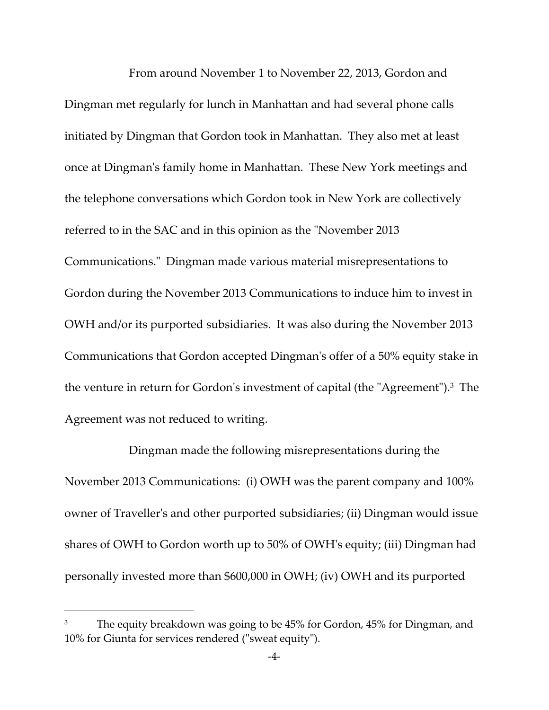From around November 1 to November 22, 2013, Gordon and Dingman met regularly for lunch in Manhattan and had several phone calls initiated by Dingman that Gordon took in Manhattan. They also met at least once at Dingmanʹs family home in Manhattan. These New York meetings and the telephone conversations which Gordon took in New York are collectively referred to in the SAC and in this opinion as the "November 2013 Communications.ʺ Dingman made various material misrepresentations to Gordon during the November 2013 Communications to induce him to invest in OWH and/or its purported subsidiaries. It was also during the November 2013 Communications that Gordon accepted Dingmanʹs offer of a 50% equity stake in the venture in return for Gordon's investment of capital (the "Agreement").<sup>3</sup> The Agreement was not reduced to writing.

Dingman made the following misrepresentations during the November 2013 Communications: (i) OWH was the parent company and 100% owner of Travellerʹs and other purported subsidiaries; (ii) Dingman would issue shares of OWH to Gordon worth up to 50% of OWHʹs equity; (iii) Dingman had personally invested more than \$600,000 in OWH; (iv) OWH and its purported

The equity breakdown was going to be 45% for Gordon, 45% for Dingman, and 10% for Giunta for services rendered ("sweat equity").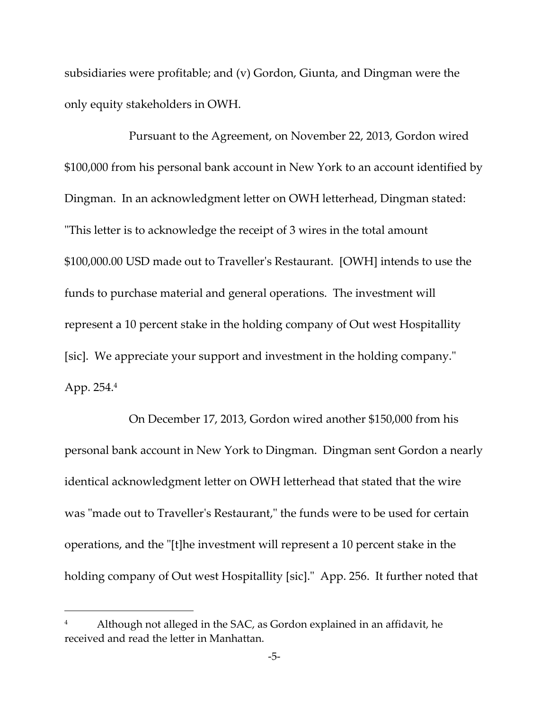subsidiaries were profitable; and (v) Gordon, Giunta, and Dingman were the only equity stakeholders in OWH.

Pursuant to the Agreement, on November 22, 2013, Gordon wired \$100,000 from his personal bank account in New York to an account identified by Dingman. In an acknowledgment letter on OWH letterhead, Dingman stated: ʺThis letter is to acknowledge the receipt of 3 wires in the total amount \$100,000.00 USD made out to Travellerʹs Restaurant. [OWH] intends to use the funds to purchase material and general operations. The investment will represent a 10 percent stake in the holding company of Out west Hospitallity [sic]. We appreciate your support and investment in the holding company." App. 254.4

On December 17, 2013, Gordon wired another \$150,000 from his personal bank account in New York to Dingman. Dingman sent Gordon a nearly identical acknowledgment letter on OWH letterhead that stated that the wire was "made out to Traveller's Restaurant," the funds were to be used for certain operations, and the "[t]he investment will represent a 10 percent stake in the holding company of Out west Hospitallity [sic]." App. 256. It further noted that

Although not alleged in the SAC, as Gordon explained in an affidavit, he received and read the letter in Manhattan.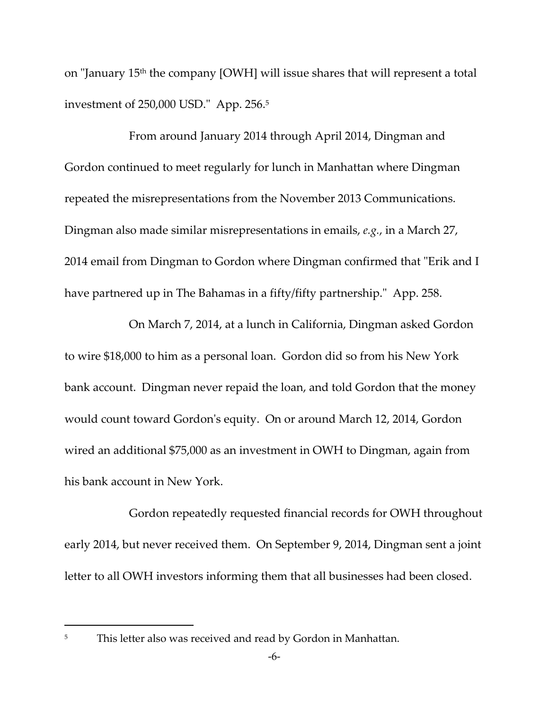on "January 15<sup>th</sup> the company [OWH] will issue shares that will represent a total investment of  $250,000$  USD." App.  $256.5$ 

From around January 2014 through April 2014, Dingman and Gordon continued to meet regularly for lunch in Manhattan where Dingman repeated the misrepresentations from the November 2013 Communications. Dingman also made similar misrepresentations in emails, *e.g.*, in a March 27, 2014 email from Dingman to Gordon where Dingman confirmed that "Erik and I have partnered up in The Bahamas in a fifty/fifty partnership." App. 258.

On March 7, 2014, at a lunch in California, Dingman asked Gordon to wire \$18,000 to him as a personal loan. Gordon did so from his New York bank account. Dingman never repaid the loan, and told Gordon that the money would count toward Gordonʹs equity. On or around March 12, 2014, Gordon wired an additional \$75,000 as an investment in OWH to Dingman, again from his bank account in New York.

Gordon repeatedly requested financial records for OWH throughout early 2014, but never received them. On September 9, 2014, Dingman sent a joint letter to all OWH investors informing them that all businesses had been closed.

<sup>&</sup>lt;sup>5</sup> This letter also was received and read by Gordon in Manhattan.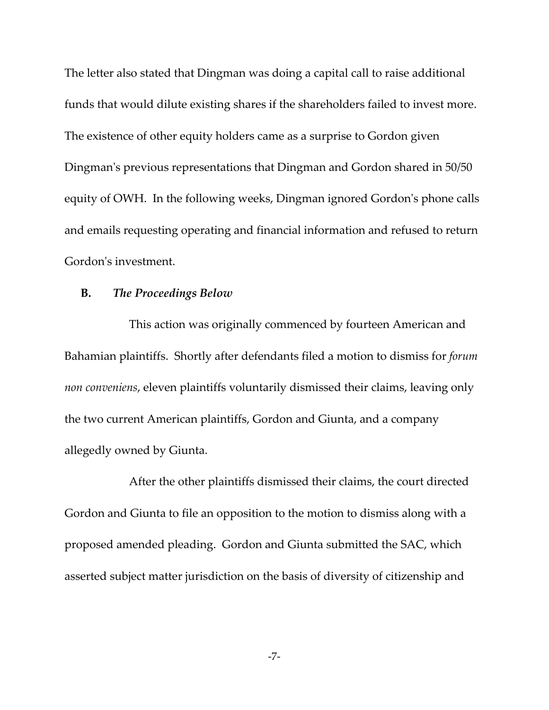The letter also stated that Dingman was doing a capital call to raise additional funds that would dilute existing shares if the shareholders failed to invest more. The existence of other equity holders came as a surprise to Gordon given Dingman's previous representations that Dingman and Gordon shared in 50/50 equity of OWH. In the following weeks, Dingman ignored Gordon's phone calls and emails requesting operating and financial information and refused to return Gordon's investment.

# **B.** *The Proceedings Below*

This action was originally commenced by fourteen American and Bahamian plaintiffs. Shortly after defendants filed a motion to dismiss for *forum non conveniens*, eleven plaintiffs voluntarily dismissed their claims, leaving only the two current American plaintiffs, Gordon and Giunta, and a company allegedly owned by Giunta.

After the other plaintiffs dismissed their claims, the court directed Gordon and Giunta to file an opposition to the motion to dismiss along with a proposed amended pleading. Gordon and Giunta submitted the SAC, which asserted subject matter jurisdiction on the basis of diversity of citizenship and

‐7‐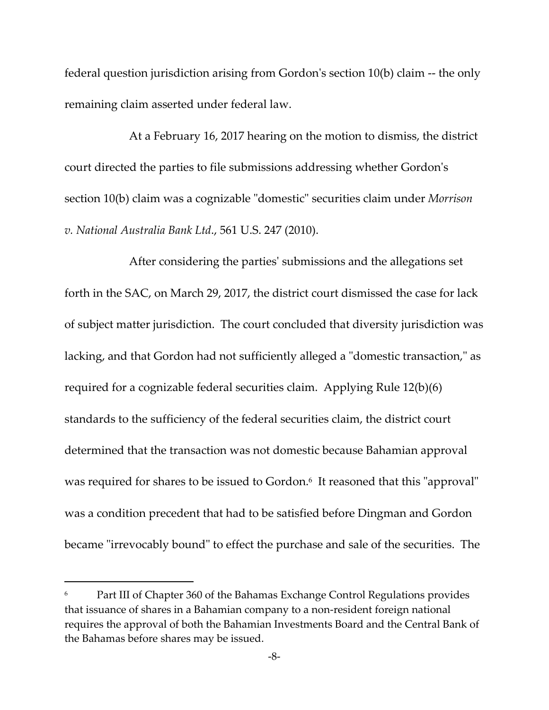federal question jurisdiction arising from Gordonʹs section 10(b) claim ‐‐ the only remaining claim asserted under federal law.

At a February 16, 2017 hearing on the motion to dismiss, the district court directed the parties to file submissions addressing whether Gordonʹs section 10(b) claim was a cognizable "domestic" securities claim under *Morrison v. National Australia Bank Ltd*., 561 U.S. 247 (2010).

After considering the partiesʹ submissions and the allegations set forth in the SAC, on March 29, 2017, the district court dismissed the case for lack of subject matter jurisdiction. The court concluded that diversity jurisdiction was lacking, and that Gordon had not sufficiently alleged a "domestic transaction," as required for a cognizable federal securities claim. Applying Rule 12(b)(6) standards to the sufficiency of the federal securities claim, the district court determined that the transaction was not domestic because Bahamian approval was required for shares to be issued to Gordon.<sup>6</sup> It reasoned that this "approval" was a condition precedent that had to be satisfied before Dingman and Gordon became "irrevocably bound" to effect the purchase and sale of the securities. The

Part III of Chapter 360 of the Bahamas Exchange Control Regulations provides that issuance of shares in a Bahamian company to a non‐resident foreign national requires the approval of both the Bahamian Investments Board and the Central Bank of the Bahamas before shares may be issued.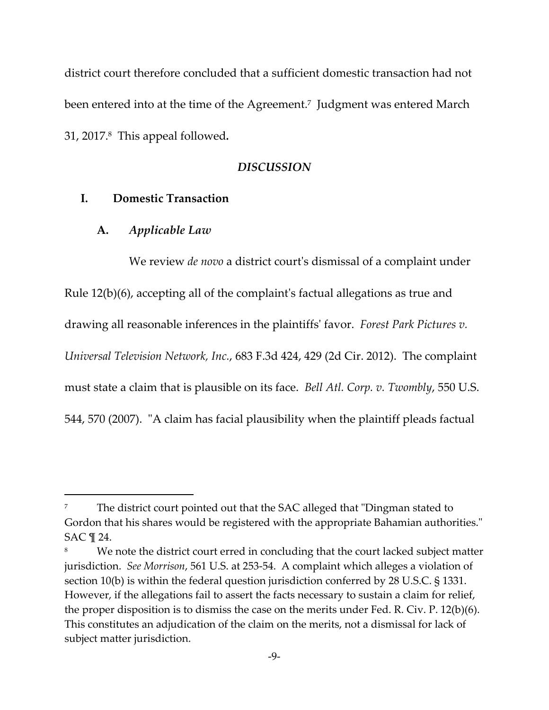district court therefore concluded that a sufficient domestic transaction had not been entered into at the time of the Agreement.<sup>7</sup> Judgment was entered March 31, 2017.8 This appeal followed*.*

## *DISCUSSION*

## **I. Domestic Transaction**

## **A.** *Applicable Law*

We review *de novo* a district courtʹs dismissal of a complaint under Rule 12(b)(6), accepting all of the complaintʹs factual allegations as true and drawing all reasonable inferences in the plaintiffsʹ favor. *Forest Park Pictures v. Universal Television Network, Inc.*, 683 F.3d 424, 429 (2d Cir. 2012). The complaint must state a claim that is plausible on its face. *Bell Atl. Corp. v. Twombly*, 550 U.S. 544, 570 (2007). "A claim has facial plausibility when the plaintiff pleads factual

The district court pointed out that the SAC alleged that "Dingman stated to Gordon that his shares would be registered with the appropriate Bahamian authorities." SAC ¶ 24.

We note the district court erred in concluding that the court lacked subject matter jurisdiction. *See Morrison*, 561 U.S. at 253‐54. A complaint which alleges a violation of section 10(b) is within the federal question jurisdiction conferred by 28 U.S.C. § 1331. However, if the allegations fail to assert the facts necessary to sustain a claim for relief, the proper disposition is to dismiss the case on the merits under Fed. R. Civ. P. 12(b)(6). This constitutes an adjudication of the claim on the merits, not a dismissal for lack of subject matter jurisdiction.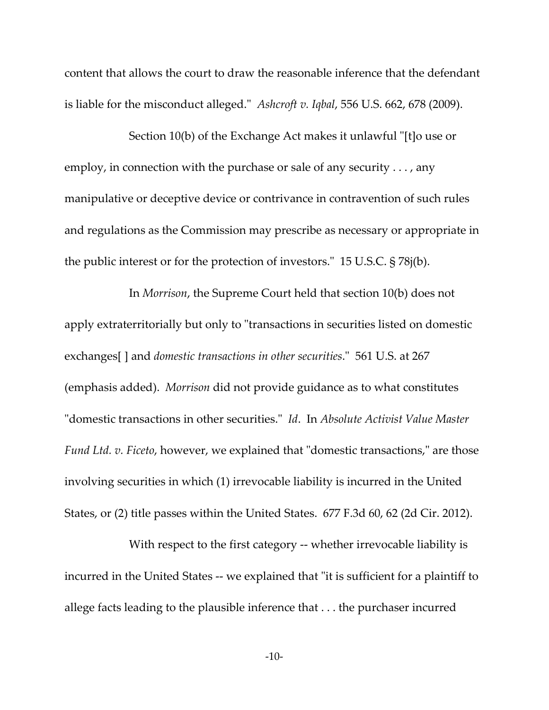content that allows the court to draw the reasonable inference that the defendant is liable for the misconduct alleged.<sup>"</sup> *Ashcroft v. Iqbal,* 556 U.S. 662, 678 (2009).

Section 10(b) of the Exchange Act makes it unlawful "[t]o use or employ, in connection with the purchase or sale of any security . . . , any manipulative or deceptive device or contrivance in contravention of such rules and regulations as the Commission may prescribe as necessary or appropriate in the public interest or for the protection of investors. $\degree$  15 U.S.C. § 78 $j(b)$ .

 In *Morrison*, the Supreme Court held that section 10(b) does not apply extraterritorially but only to "transactions in securities listed on domestic exchanges[ ] and *domestic transactions in other securities*.ʺ 561 U.S. at 267 (emphasis added). *Morrison* did not provide guidance as to what constitutes ʺdomestic transactions in other securities.ʺ *Id*. In *Absolute Activist Value Master Fund Ltd. v. Ficeto,* however, we explained that "domestic transactions," are those involving securities in which (1) irrevocable liability is incurred in the United States, or (2) title passes within the United States. 677 F.3d 60, 62 (2d Cir. 2012).

With respect to the first category -- whether irrevocable liability is incurred in the United States -- we explained that "it is sufficient for a plaintiff to allege facts leading to the plausible inference that . . . the purchaser incurred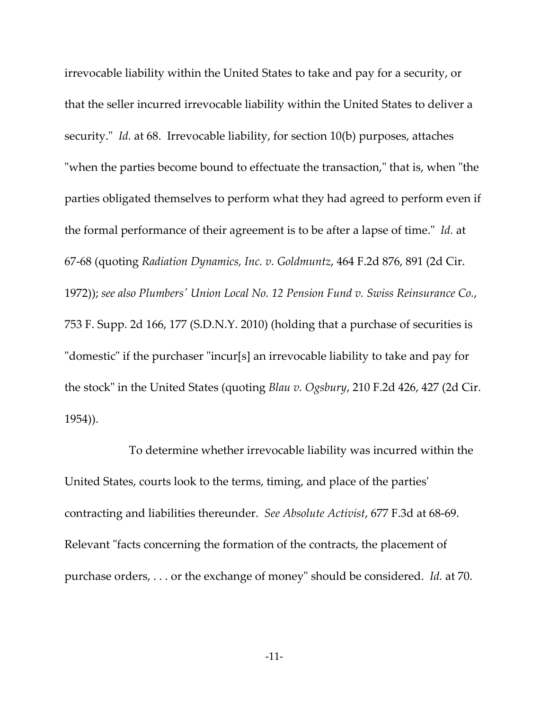irrevocable liability within the United States to take and pay for a security, or that the seller incurred irrevocable liability within the United States to deliver a security.<sup>"</sup> *Id.* at 68. Irrevocable liability, for section 10(b) purposes, attaches "when the parties become bound to effectuate the transaction," that is, when "the parties obligated themselves to perform what they had agreed to perform even if the formal performance of their agreement is to be after a lapse of time." *Id.* at 67‐68 (quoting *Radiation Dynamics, Inc. v. Goldmuntz*, 464 F.2d 876, 891 (2d Cir. 1972)); *see also Plumbersʹ Union Local No. 12 Pension Fund v. Swiss Reinsurance Co.*, 753 F. Supp. 2d 166, 177 (S.D.N.Y. 2010) (holding that a purchase of securities is "domestic" if the purchaser "incur[s] an irrevocable liability to take and pay for the stock" in the United States (quoting *Blau v. Ogsbury*, 210 F.2d 426, 427 (2d Cir. 1954)).

 To determine whether irrevocable liability was incurred within the United States, courts look to the terms, timing, and place of the partiesʹ contracting and liabilities thereunder. *See Absolute Activist*, 677 F.3d at 68‐69. Relevant "facts concerning the formation of the contracts, the placement of purchase orders, . . . or the exchange of money" should be considered. *Id.* at 70.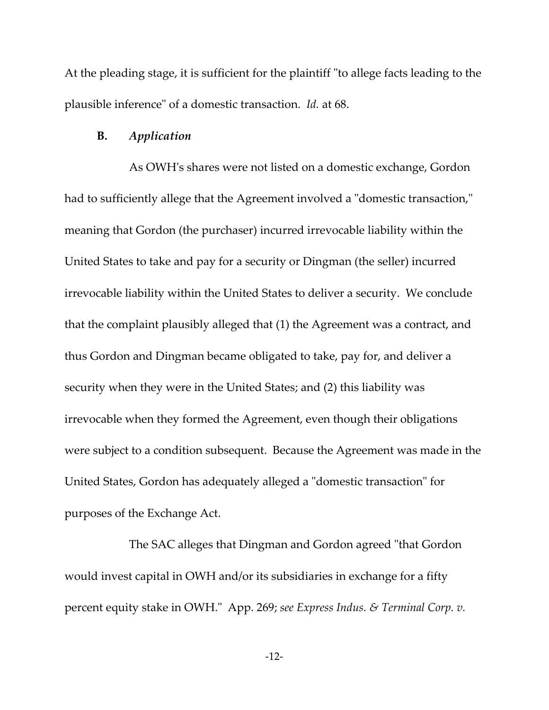At the pleading stage, it is sufficient for the plaintiff "to allege facts leading to the plausible inferenceʺ of a domestic transaction. *Id.* at 68.

#### **B.** *Application*

As OWHʹs shares were not listed on a domestic exchange, Gordon had to sufficiently allege that the Agreement involved a "domestic transaction," meaning that Gordon (the purchaser) incurred irrevocable liability within the United States to take and pay for a security or Dingman (the seller) incurred irrevocable liability within the United States to deliver a security. We conclude that the complaint plausibly alleged that (1) the Agreement was a contract, and thus Gordon and Dingman became obligated to take, pay for, and deliver a security when they were in the United States; and (2) this liability was irrevocable when they formed the Agreement, even though their obligations were subject to a condition subsequent. Because the Agreement was made in the United States, Gordon has adequately alleged a "domestic transaction" for purposes of the Exchange Act.

The SAC alleges that Dingman and Gordon agreed "that Gordon would invest capital in OWH and/or its subsidiaries in exchange for a fifty percent equity stake in OWH.ʺ App. 269; *see Express Indus. & Terminal Corp. v.*

‐12‐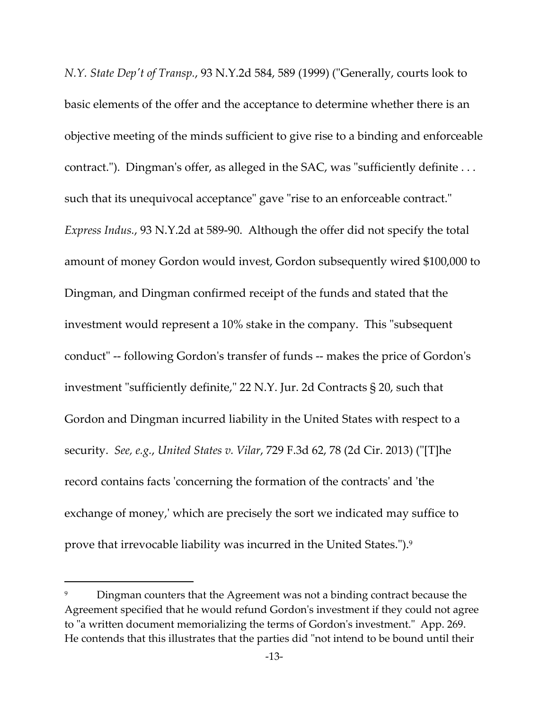*N.Y. State Depʹt of Transp.*, 93 N.Y.2d 584, 589 (1999) (ʺGenerally, courts look to basic elements of the offer and the acceptance to determine whether there is an objective meeting of the minds sufficient to give rise to a binding and enforceable contract."). Dingman's offer, as alleged in the SAC, was "sufficiently definite  $\dots$ such that its unequivocal acceptance" gave "rise to an enforceable contract." *Express Indus.*, 93 N.Y.2d at 589‐90. Although the offer did not specify the total amount of money Gordon would invest, Gordon subsequently wired \$100,000 to Dingman, and Dingman confirmed receipt of the funds and stated that the investment would represent a 10% stake in the company. This "subsequent conductʺ ‐‐ following Gordonʹs transfer of funds ‐‐ makes the price of Gordonʹs investment "sufficiently definite," 22 N.Y. Jur. 2d Contracts § 20, such that Gordon and Dingman incurred liability in the United States with respect to a security. *See, e.g.*, *United States v. Vilar*, 729 F.3d 62, 78 (2d Cir. 2013) (ʺ[T]he record contains facts 'concerning the formation of the contracts' and 'the exchange of money,' which are precisely the sort we indicated may suffice to prove that irrevocable liability was incurred in the United States.").<sup>9</sup>

Dingman counters that the Agreement was not a binding contract because the Agreement specified that he would refund Gordonʹs investment if they could not agree to "a written document memorializing the terms of Gordon's investment." App. 269. He contends that this illustrates that the parties did "not intend to be bound until their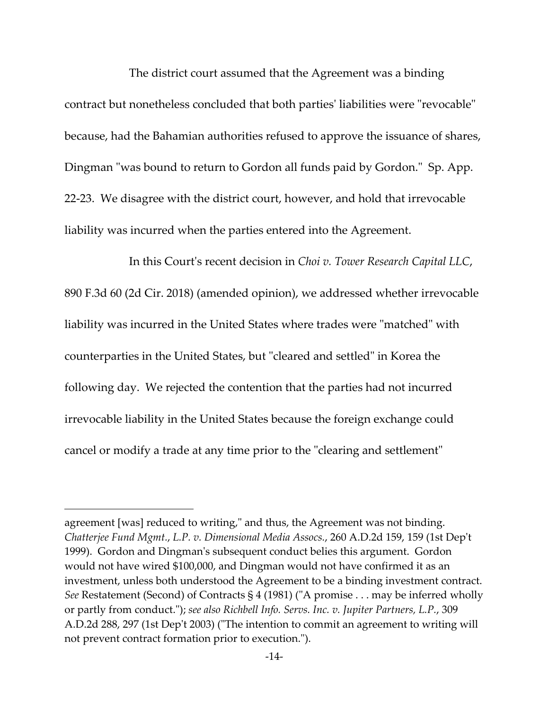The district court assumed that the Agreement was a binding contract but nonetheless concluded that both parties' liabilities were "revocable" because, had the Bahamian authorities refused to approve the issuance of shares, Dingman "was bound to return to Gordon all funds paid by Gordon." Sp. App. 22‐23. We disagree with the district court, however, and hold that irrevocable liability was incurred when the parties entered into the Agreement.

 In this Courtʹs recent decision in *Choi v. Tower Research Capital LLC*, 890 F.3d 60 (2d Cir. 2018) (amended opinion), we addressed whether irrevocable liability was incurred in the United States where trades were "matched" with counterparties in the United States, but "cleared and settled" in Korea the following day. We rejected the contention that the parties had not incurred irrevocable liability in the United States because the foreign exchange could cancel or modify a trade at any time prior to the "clearing and settlement"

agreement [was] reduced to writing," and thus, the Agreement was not binding. *Chatterjee Fund Mgmt.*, *L.P. v. Dimensional Media Assocs.*, 260 A.D.2d 159, 159 (1st Depʹt 1999). Gordon and Dingmanʹs subsequent conduct belies this argument. Gordon would not have wired \$100,000, and Dingman would not have confirmed it as an investment, unless both understood the Agreement to be a binding investment contract. *See* Restatement (Second) of Contracts § 4 (1981) ("A promise . . . may be inferred wholly or partly from conduct.ʺ); *see also Richbell Info. Servs. Inc. v. Jupiter Partners, L.P.*, 309 A.D.2d 288, 297 (1st Dep't 2003) ("The intention to commit an agreement to writing will not prevent contract formation prior to execution.").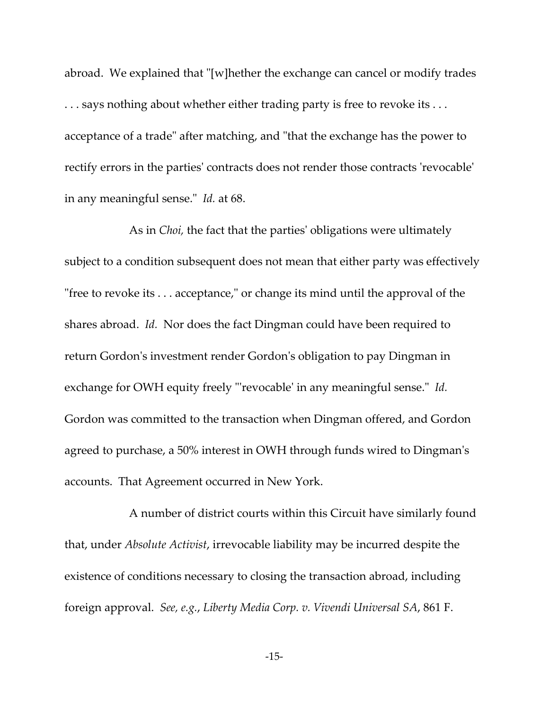abroad. We explained that  $\lceil w \rceil$  hether the exchange can cancel or modify trades ... says nothing about whether either trading party is free to revoke its ... acceptance of a trade" after matching, and "that the exchange has the power to rectify errors in the partiesʹ contracts does not render those contracts ʹrevocableʹ in any meaningful sense." *Id.* at 68.

As in *Choi,* the fact that the partiesʹ obligations were ultimately subject to a condition subsequent does not mean that either party was effectively "free to revoke its  $\dots$  acceptance," or change its mind until the approval of the shares abroad. *Id.* Nor does the fact Dingman could have been required to return Gordon's investment render Gordon's obligation to pay Dingman in exchange for OWH equity freely "revocable' in any meaningful sense." *Id.* Gordon was committed to the transaction when Dingman offered, and Gordon agreed to purchase, a 50% interest in OWH through funds wired to Dingmanʹs accounts. That Agreement occurred in New York.

A number of district courts within this Circuit have similarly found that, under *Absolute Activist*, irrevocable liability may be incurred despite the existence of conditions necessary to closing the transaction abroad, including foreign approval. *See, e.g.*, *Liberty Media Corp. v. Vivendi Universal SA*, 861 F.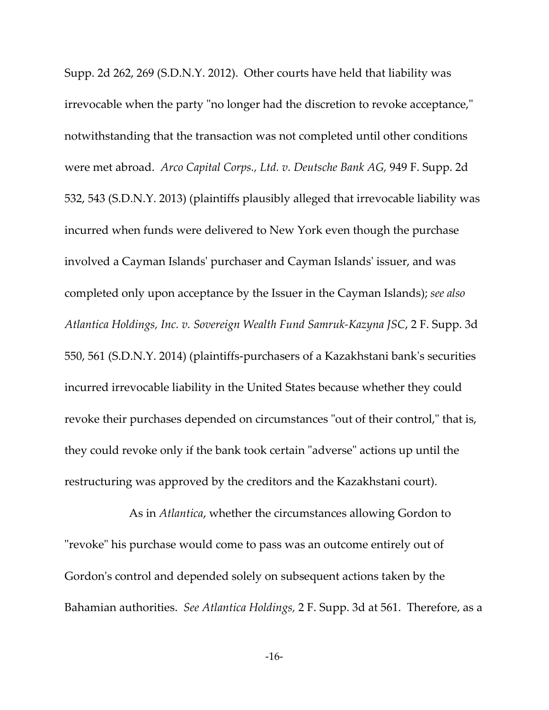Supp. 2d 262, 269 (S.D.N.Y. 2012). Other courts have held that liability was irrevocable when the party "no longer had the discretion to revoke acceptance," notwithstanding that the transaction was not completed until other conditions were met abroad. *Arco Capital Corps., Ltd. v. Deutsche Bank AG,* 949 F. Supp. 2d 532, 543 (S.D.N.Y. 2013) (plaintiffs plausibly alleged that irrevocable liability was incurred when funds were delivered to New York even though the purchase involved a Cayman Islandsʹ purchaser and Cayman Islandsʹ issuer, and was completed only upon acceptance by the Issuer in the Cayman Islands); *see also Atlantica Holdings, Inc. v. Sovereign Wealth Fund Samruk‐Kazyna JSC*, 2 F. Supp. 3d 550, 561 (S.D.N.Y. 2014) (plaintiffs‐purchasers of a Kazakhstani bankʹs securities incurred irrevocable liability in the United States because whether they could revoke their purchases depended on circumstances "out of their control," that is, they could revoke only if the bank took certain "adverse" actions up until the restructuring was approved by the creditors and the Kazakhstani court).

As in *Atlantica*, whether the circumstances allowing Gordon to "revoke" his purchase would come to pass was an outcome entirely out of Gordonʹs control and depended solely on subsequent actions taken by the Bahamian authorities. *See Atlantica Holdings,* 2 F. Supp. 3d at 561. Therefore, as a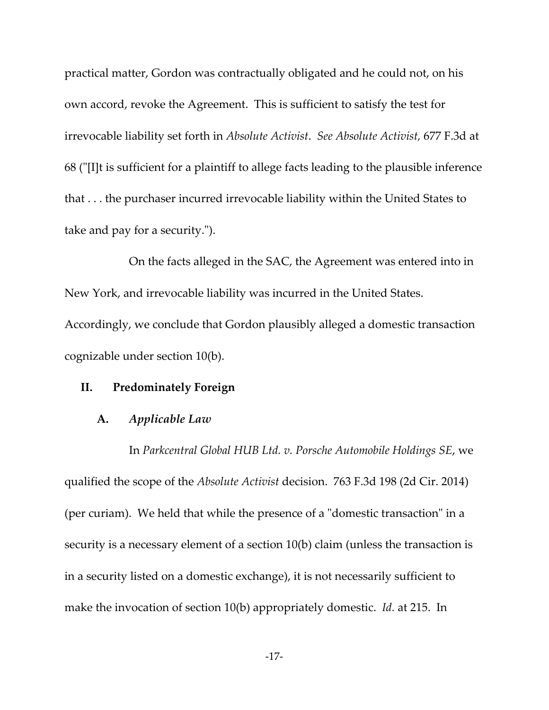practical matter, Gordon was contractually obligated and he could not, on his own accord, revoke the Agreement. This is sufficient to satisfy the test for irrevocable liability set forth in *Absolute Activist*. *See Absolute Activist,* 677 F.3d at 68 (ʺ[I]t is sufficient for a plaintiff to allege facts leading to the plausible inference that . . . the purchaser incurred irrevocable liability within the United States to take and pay for a security.").

 On the facts alleged in the SAC, the Agreement was entered into in New York, and irrevocable liability was incurred in the United States. Accordingly, we conclude that Gordon plausibly alleged a domestic transaction cognizable under section 10(b).

### **II. Predominately Foreign**

#### **A.** *Applicable Law*

 In *Parkcentral Global HUB Ltd. v. Porsche Automobile Holdings SE*, we qualified the scope of the *Absolute Activist* decision. 763 F.3d 198 (2d Cir. 2014) (per curiam). We held that while the presence of a "domestic transaction" in a security is a necessary element of a section 10(b) claim (unless the transaction is in a security listed on a domestic exchange), it is not necessarily sufficient to make the invocation of section 10(b) appropriately domestic. *Id.* at 215. In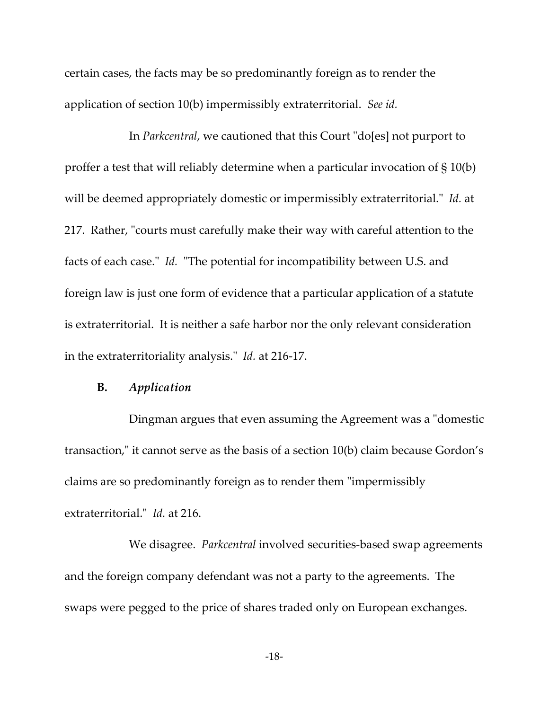certain cases, the facts may be so predominantly foreign as to render the application of section 10(b) impermissibly extraterritorial. *See id.*

In *Parkcentral*, we cautioned that this Court "do[es] not purport to proffer a test that will reliably determine when a particular invocation of § 10(b) will be deemed appropriately domestic or impermissibly extraterritorial." *Id.* at 217. Rather, "courts must carefully make their way with careful attention to the facts of each case." *Id.* "The potential for incompatibility between U.S. and foreign law is just one form of evidence that a particular application of a statute is extraterritorial. It is neither a safe harbor nor the only relevant consideration in the extraterritoriality analysis." *Id.* at 216-17.

## **B.** *Application*

Dingman argues that even assuming the Agreement was a "domestic" transaction," it cannot serve as the basis of a section 10(b) claim because Gordon's claims are so predominantly foreign as to render them "impermissibly extraterritorial.<sup>"</sup> *Id.* at 216.

 We disagree. *Parkcentral* involved securities‐based swap agreements and the foreign company defendant was not a party to the agreements. The swaps were pegged to the price of shares traded only on European exchanges.

‐18‐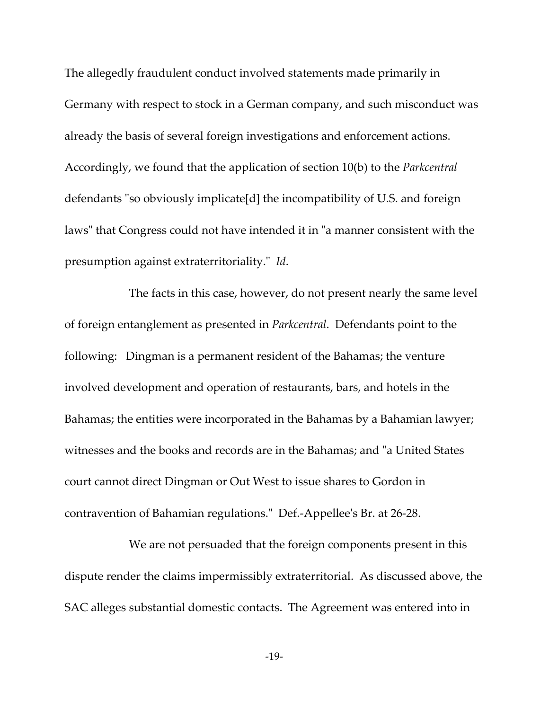The allegedly fraudulent conduct involved statements made primarily in Germany with respect to stock in a German company, and such misconduct was already the basis of several foreign investigations and enforcement actions. Accordingly, we found that the application of section 10(b) to the *Parkcentral* defendants "so obviously implicate[d] the incompatibility of U.S. and foreign laws" that Congress could not have intended it in "a manner consistent with the presumption against extraterritoriality." *Id.* 

 The facts in this case, however, do not present nearly the same level of foreign entanglement as presented in *Parkcentral*. Defendants point to the following: Dingman is a permanent resident of the Bahamas; the venture involved development and operation of restaurants, bars, and hotels in the Bahamas; the entities were incorporated in the Bahamas by a Bahamian lawyer; witnesses and the books and records are in the Bahamas; and "a United States" court cannot direct Dingman or Out West to issue shares to Gordon in contravention of Bahamian regulations." Def.-Appellee's Br. at 26-28.

 We are not persuaded that the foreign components present in this dispute render the claims impermissibly extraterritorial. As discussed above, the SAC alleges substantial domestic contacts. The Agreement was entered into in